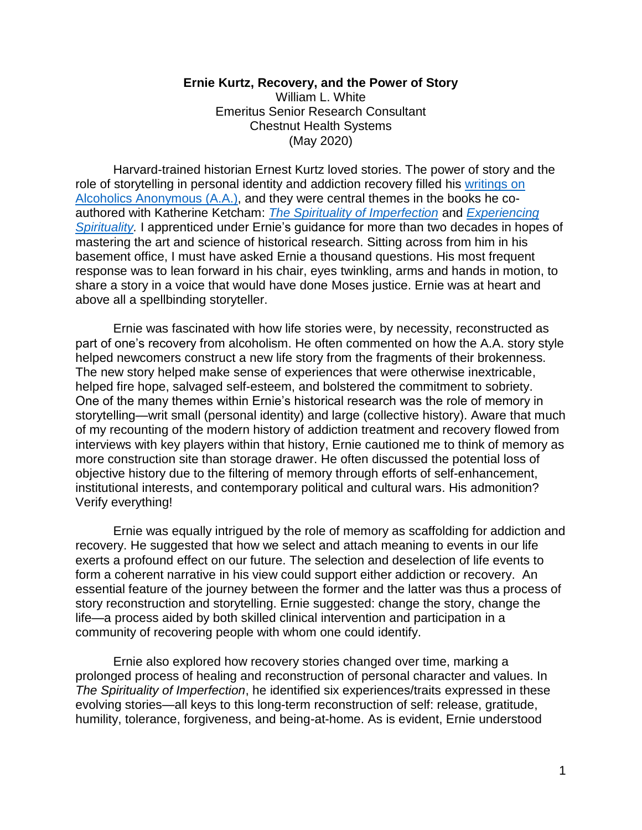## **Ernie Kurtz, Recovery, and the Power of Story**

William L. White Emeritus Senior Research Consultant Chestnut Health Systems (May 2020)

Harvard-trained historian Ernest Kurtz loved stories. The power of story and the role of storytelling in personal identity and addiction recovery filled his [writings on](https://www.amazon.com/Not-God-Alcoholics-Ernest-Kurtz-ebook/dp/B00BS03JVI/ref=sr_1_1?crid=3GIKQF7SI8RVN&dchild=1&keywords=not-god+kurtz&qid=1588779115&sprefix=Not-God%2Caps%2C157&sr=8-1)  [Alcoholics Anonymous \(A.A.\),](https://www.amazon.com/Not-God-Alcoholics-Ernest-Kurtz-ebook/dp/B00BS03JVI/ref=sr_1_1?crid=3GIKQF7SI8RVN&dchild=1&keywords=not-god+kurtz&qid=1588779115&sprefix=Not-God%2Caps%2C157&sr=8-1) and they were central themes in the books he coauthored with Katherine Ketcham: *[The Spirituality of Imperfection](https://www.amazon.com/Spirituality-Imperfection-Storytelling-Search-Meaning-ebook/dp/B000SEIL3G/ref=pd_sim_351_2/147-3084656-5901845?_encoding=UTF8&pd_rd_i=B000SEIL3G&pd_rd_r=999b4bb7-d114-4f7b-9389-b6d67504e7b9&pd_rd_w=G2EJx&pd_rd_wg=2nOyq&pf_rd_p=9fec2710-b93d-4b3e-b3ca-e55dc1c5909a&pf_rd_r=5XW45RP6H068FN2CP506&psc=1&refRID=5XW45RP6H068FN2CP506)* and *[Experiencing](https://www.amazon.com/Experiencing-Spirituality-Finding-Meaning-Storytelling-ebook/dp/B00FX7LVR6/ref=pd_sim_351_1/147-3084656-5901845?_encoding=UTF8&pd_rd_i=B00FX7LVR6&pd_rd_r=e945d28a-7a89-427d-8e21-9fd52a4b7306&pd_rd_w=4kJ7M&pd_rd_wg=B9lbW&pf_rd_p=9fec2710-b93d-4b3e-b3ca-e55dc1c5909a&pf_rd_r=P3ERXW91ENTNGAYE3XV7&psc=1&refRID=P3ERXW91ENTNGAYE3XV7)*  **[Spirituality.](https://www.amazon.com/Experiencing-Spirituality-Finding-Meaning-Storytelling-ebook/dp/B00FX7LVR6/ref=pd_sim_351_1/147-3084656-5901845?_encoding=UTF8&pd_rd_i=B00FX7LVR6&pd_rd_r=e945d28a-7a89-427d-8e21-9fd52a4b7306&pd_rd_w=4kJ7M&pd_rd_wg=B9lbW&pf_rd_p=9fec2710-b93d-4b3e-b3ca-e55dc1c5909a&pf_rd_r=P3ERXW91ENTNGAYE3XV7&psc=1&refRID=P3ERXW91ENTNGAYE3XV7)** I apprenticed under Ernie's guidance for more than two decades in hopes of mastering the art and science of historical research. Sitting across from him in his basement office, I must have asked Ernie a thousand questions. His most frequent response was to lean forward in his chair, eyes twinkling, arms and hands in motion, to share a story in a voice that would have done Moses justice. Ernie was at heart and above all a spellbinding storyteller.

Ernie was fascinated with how life stories were, by necessity, reconstructed as part of one's recovery from alcoholism. He often commented on how the A.A. story style helped newcomers construct a new life story from the fragments of their brokenness. The new story helped make sense of experiences that were otherwise inextricable, helped fire hope, salvaged self-esteem, and bolstered the commitment to sobriety. One of the many themes within Ernie's historical research was the role of memory in storytelling—writ small (personal identity) and large (collective history). Aware that much of my recounting of the modern history of addiction treatment and recovery flowed from interviews with key players within that history, Ernie cautioned me to think of memory as more construction site than storage drawer. He often discussed the potential loss of objective history due to the filtering of memory through efforts of self-enhancement, institutional interests, and contemporary political and cultural wars. His admonition? Verify everything!

Ernie was equally intrigued by the role of memory as scaffolding for addiction and recovery. He suggested that how we select and attach meaning to events in our life exerts a profound effect on our future. The selection and deselection of life events to form a coherent narrative in his view could support either addiction or recovery. An essential feature of the journey between the former and the latter was thus a process of story reconstruction and storytelling. Ernie suggested: change the story, change the life—a process aided by both skilled clinical intervention and participation in a community of recovering people with whom one could identify.

Ernie also explored how recovery stories changed over time, marking a prolonged process of healing and reconstruction of personal character and values. In *The Spirituality of Imperfection*, he identified six experiences/traits expressed in these evolving stories—all keys to this long-term reconstruction of self: release, gratitude, humility, tolerance, forgiveness, and being-at-home. As is evident, Ernie understood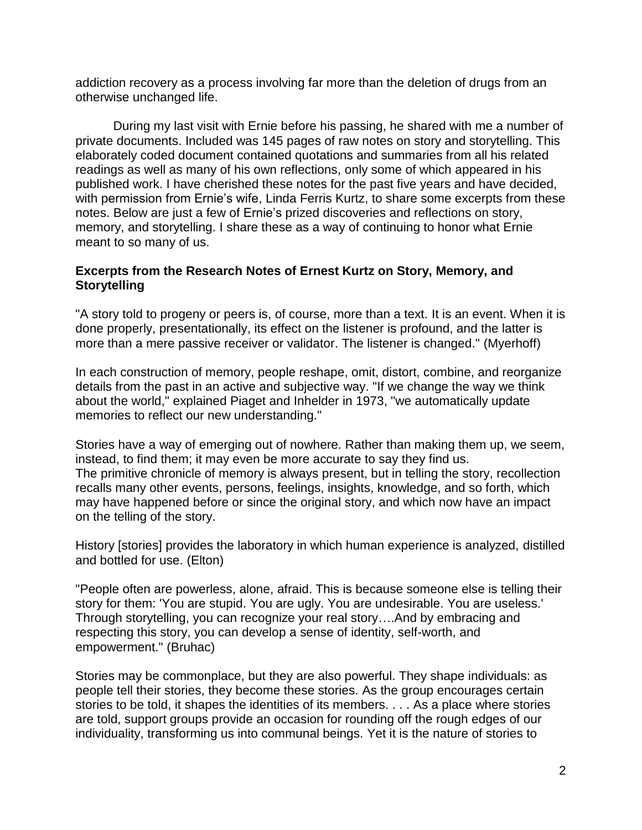addiction recovery as a process involving far more than the deletion of drugs from an otherwise unchanged life.

During my last visit with Ernie before his passing, he shared with me a number of private documents. Included was 145 pages of raw notes on story and storytelling. This elaborately coded document contained quotations and summaries from all his related readings as well as many of his own reflections, only some of which appeared in his published work. I have cherished these notes for the past five years and have decided, with permission from Ernie's wife, Linda Ferris Kurtz, to share some excerpts from these notes. Below are just a few of Ernie's prized discoveries and reflections on story, memory, and storytelling. I share these as a way of continuing to honor what Ernie meant to so many of us.

## **Excerpts from the Research Notes of Ernest Kurtz on Story, Memory, and Storytelling**

"A story told to progeny or peers is, of course, more than a text. It is an event. When it is done properly, presentationally, its effect on the listener is profound, and the latter is more than a mere passive receiver or validator. The listener is changed." (Myerhoff)

In each construction of memory, people reshape, omit, distort, combine, and reorganize details from the past in an active and subjective way. "If we change the way we think about the world," explained Piaget and Inhelder in 1973, "we automatically update memories to reflect our new understanding."

Stories have a way of emerging out of nowhere. Rather than making them up, we seem, instead, to find them; it may even be more accurate to say they find us. The primitive chronicle of memory is always present, but in telling the story, recollection recalls many other events, persons, feelings, insights, knowledge, and so forth, which may have happened before or since the original story, and which now have an impact on the telling of the story.

History [stories] provides the laboratory in which human experience is analyzed, distilled and bottled for use. (Elton)

"People often are powerless, alone, afraid. This is because someone else is telling their story for them: 'You are stupid. You are ugly. You are undesirable. You are useless.' Through storytelling, you can recognize your real story….And by embracing and respecting this story, you can develop a sense of identity, self-worth, and empowerment." (Bruhac)

Stories may be commonplace, but they are also powerful. They shape individuals: as people tell their stories, they become these stories. As the group encourages certain stories to be told, it shapes the identities of its members. . . . As a place where stories are told, support groups provide an occasion for rounding off the rough edges of our individuality, transforming us into communal beings. Yet it is the nature of stories to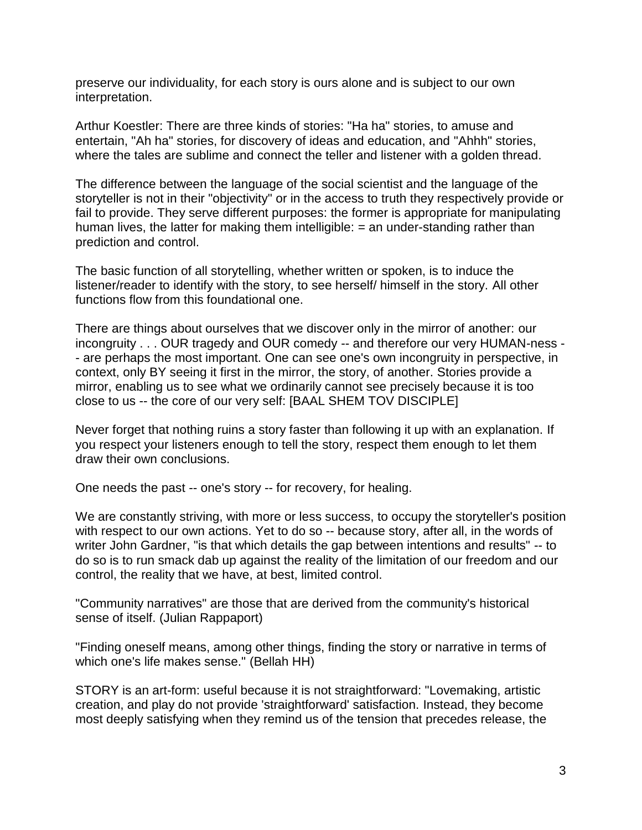preserve our individuality, for each story is ours alone and is subject to our own interpretation.

Arthur Koestler: There are three kinds of stories: "Ha ha" stories, to amuse and entertain, "Ah ha" stories, for discovery of ideas and education, and "Ahhh" stories, where the tales are sublime and connect the teller and listener with a golden thread.

The difference between the language of the social scientist and the language of the storyteller is not in their "objectivity" or in the access to truth they respectively provide or fail to provide. They serve different purposes: the former is appropriate for manipulating human lives, the latter for making them intelligible:  $=$  an under-standing rather than prediction and control.

The basic function of all storytelling, whether written or spoken, is to induce the listener/reader to identify with the story, to see herself/ himself in the story. All other functions flow from this foundational one.

There are things about ourselves that we discover only in the mirror of another: our incongruity . . . OUR tragedy and OUR comedy -- and therefore our very HUMAN-ness - - are perhaps the most important. One can see one's own incongruity in perspective, in context, only BY seeing it first in the mirror, the story, of another. Stories provide a mirror, enabling us to see what we ordinarily cannot see precisely because it is too close to us -- the core of our very self: [BAAL SHEM TOV DISCIPLE]

Never forget that nothing ruins a story faster than following it up with an explanation. If you respect your listeners enough to tell the story, respect them enough to let them draw their own conclusions.

One needs the past -- one's story -- for recovery, for healing.

We are constantly striving, with more or less success, to occupy the storyteller's position with respect to our own actions. Yet to do so -- because story, after all, in the words of writer John Gardner, "is that which details the gap between intentions and results" -- to do so is to run smack dab up against the reality of the limitation of our freedom and our control, the reality that we have, at best, limited control.

"Community narratives" are those that are derived from the community's historical sense of itself. (Julian Rappaport)

"Finding oneself means, among other things, finding the story or narrative in terms of which one's life makes sense." (Bellah HH)

STORY is an art-form: useful because it is not straightforward: "Lovemaking, artistic creation, and play do not provide 'straightforward' satisfaction. Instead, they become most deeply satisfying when they remind us of the tension that precedes release, the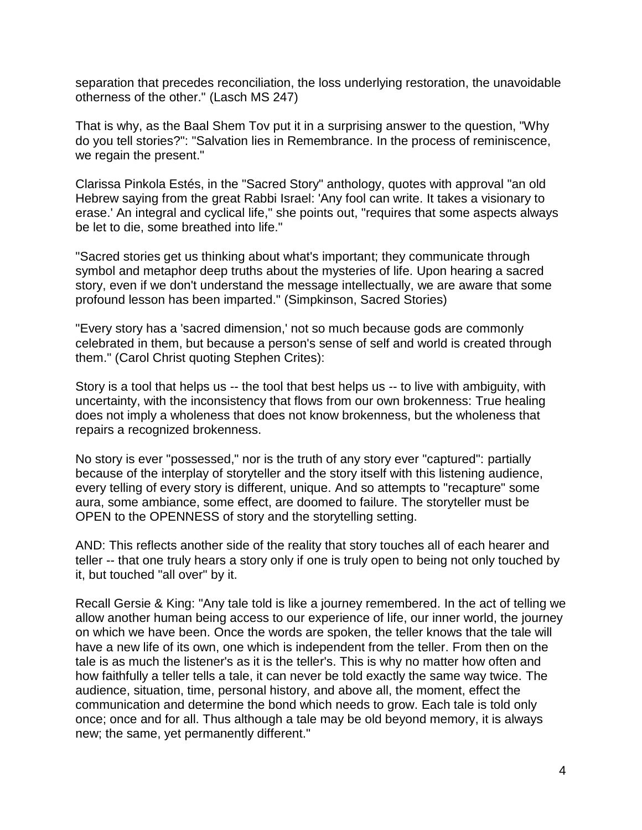separation that precedes reconciliation, the loss underlying restoration, the unavoidable otherness of the other." (Lasch MS 247)

That is why, as the Baal Shem Tov put it in a surprising answer to the question, "Why do you tell stories?": "Salvation lies in Remembrance. In the process of reminiscence, we regain the present."

Clarissa Pinkola Estés, in the "Sacred Story" anthology, quotes with approval "an old Hebrew saying from the great Rabbi Israel: 'Any fool can write. It takes a visionary to erase.' An integral and cyclical life," she points out, "requires that some aspects always be let to die, some breathed into life."

"Sacred stories get us thinking about what's important; they communicate through symbol and metaphor deep truths about the mysteries of life. Upon hearing a sacred story, even if we don't understand the message intellectually, we are aware that some profound lesson has been imparted." (Simpkinson, Sacred Stories)

"Every story has a 'sacred dimension,' not so much because gods are commonly celebrated in them, but because a person's sense of self and world is created through them." (Carol Christ quoting Stephen Crites):

Story is a tool that helps us -- the tool that best helps us -- to live with ambiguity, with uncertainty, with the inconsistency that flows from our own brokenness: True healing does not imply a wholeness that does not know brokenness, but the wholeness that repairs a recognized brokenness.

No story is ever "possessed," nor is the truth of any story ever "captured": partially because of the interplay of storyteller and the story itself with this listening audience, every telling of every story is different, unique. And so attempts to "recapture" some aura, some ambiance, some effect, are doomed to failure. The storyteller must be OPEN to the OPENNESS of story and the storytelling setting.

AND: This reflects another side of the reality that story touches all of each hearer and teller -- that one truly hears a story only if one is truly open to being not only touched by it, but touched "all over" by it.

Recall Gersie & King: "Any tale told is like a journey remembered. In the act of telling we allow another human being access to our experience of life, our inner world, the journey on which we have been. Once the words are spoken, the teller knows that the tale will have a new life of its own, one which is independent from the teller. From then on the tale is as much the listener's as it is the teller's. This is why no matter how often and how faithfully a teller tells a tale, it can never be told exactly the same way twice. The audience, situation, time, personal history, and above all, the moment, effect the communication and determine the bond which needs to grow. Each tale is told only once; once and for all. Thus although a tale may be old beyond memory, it is always new; the same, yet permanently different."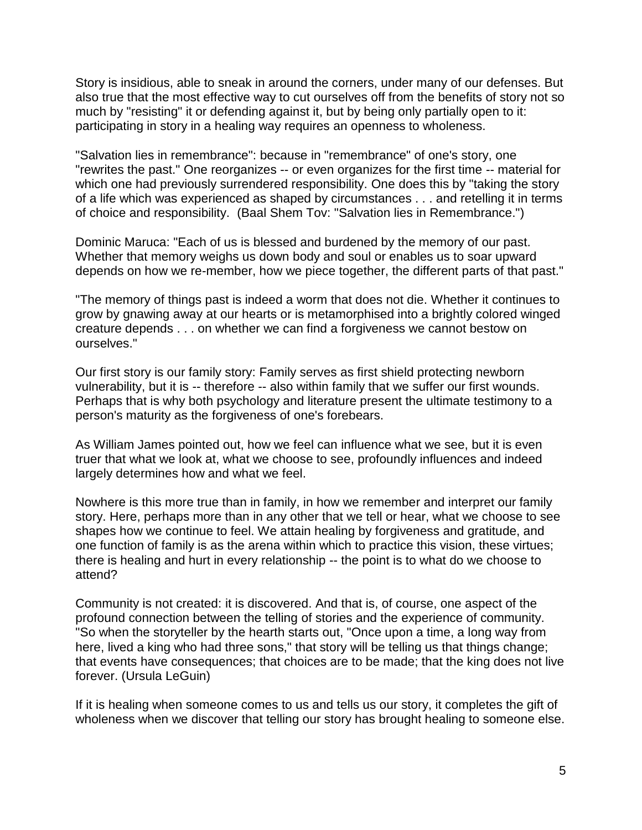Story is insidious, able to sneak in around the corners, under many of our defenses. But also true that the most effective way to cut ourselves off from the benefits of story not so much by "resisting" it or defending against it, but by being only partially open to it: participating in story in a healing way requires an openness to wholeness.

"Salvation lies in remembrance": because in "remembrance" of one's story, one "rewrites the past." One reorganizes -- or even organizes for the first time -- material for which one had previously surrendered responsibility. One does this by "taking the story of a life which was experienced as shaped by circumstances . . . and retelling it in terms of choice and responsibility. (Baal Shem Tov: "Salvation lies in Remembrance.")

Dominic Maruca: "Each of us is blessed and burdened by the memory of our past. Whether that memory weighs us down body and soul or enables us to soar upward depends on how we re-member, how we piece together, the different parts of that past."

"The memory of things past is indeed a worm that does not die. Whether it continues to grow by gnawing away at our hearts or is metamorphised into a brightly colored winged creature depends . . . on whether we can find a forgiveness we cannot bestow on ourselves."

Our first story is our family story: Family serves as first shield protecting newborn vulnerability, but it is -- therefore -- also within family that we suffer our first wounds. Perhaps that is why both psychology and literature present the ultimate testimony to a person's maturity as the forgiveness of one's forebears.

As William James pointed out, how we feel can influence what we see, but it is even truer that what we look at, what we choose to see, profoundly influences and indeed largely determines how and what we feel.

Nowhere is this more true than in family, in how we remember and interpret our family story. Here, perhaps more than in any other that we tell or hear, what we choose to see shapes how we continue to feel. We attain healing by forgiveness and gratitude, and one function of family is as the arena within which to practice this vision, these virtues; there is healing and hurt in every relationship -- the point is to what do we choose to attend?

Community is not created: it is discovered. And that is, of course, one aspect of the profound connection between the telling of stories and the experience of community. "So when the storyteller by the hearth starts out, "Once upon a time, a long way from here, lived a king who had three sons," that story will be telling us that things change; that events have consequences; that choices are to be made; that the king does not live forever. (Ursula LeGuin)

If it is healing when someone comes to us and tells us our story, it completes the gift of wholeness when we discover that telling our story has brought healing to someone else.